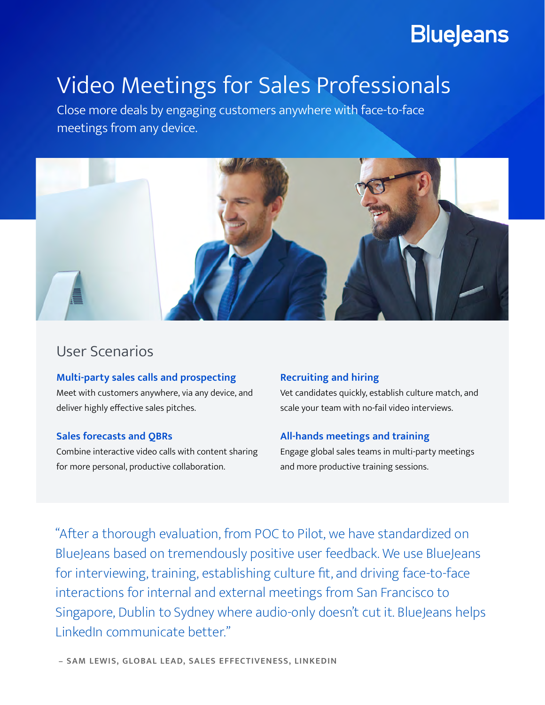## **BlueJeans**

# Video Meetings for Sales Professionals

Close more deals by engaging customers anywhere with face-to-face meetings from any device.



### User Scenarios

**Multi-party sales calls and prospecting** Meet with customers anywhere, via any device, and deliver highly effective sales pitches.

#### **Sales forecasts and QBRs**

Combine interactive video calls with content sharing for more personal, productive collaboration.

#### **Recruiting and hiring**

Vet candidates quickly, establish culture match, and scale your team with no-fail video interviews.

#### **All-hands meetings and training**

Engage global sales teams in multi-party meetings and more productive training sessions.

"After a thorough evaluation, from POC to Pilot, we have standardized on BlueJeans based on tremendously positive user feedback. We use BlueJeans for interviewing, training, establishing culture fit, and driving face-to-face interactions for internal and external meetings from San Francisco to Singapore, Dublin to Sydney where audio-only doesn't cut it. BlueJeans helps LinkedIn communicate better."